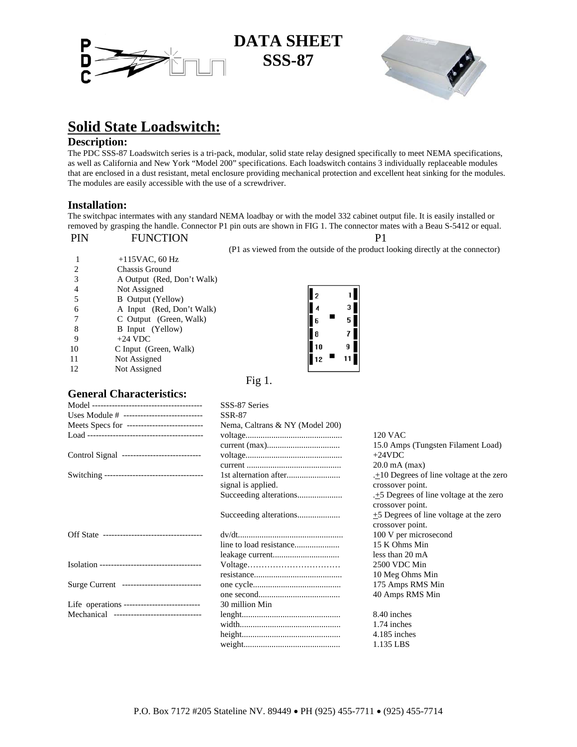

## **DATA SHEET SSS-87**



# **Solid State Loadswitch:**

**Description:**<br>The PDC SSS-87 Loadswitch series is a tri-pack, modular, solid state relay designed specifically to meet NEMA specifications, as well as California and New York "Model 200" specifications. Each loadswitch contains 3 individually replaceable modules that are enclosed in a dust resistant, metal enclosure providing mechanical protection and excellent heat sinking for the modules. The modules are easily accessible with the use of a screwdriver.

### **Installation:**

The switchpac intermates with any standard NEMA loadbay or with the model 332 cabinet output file. It is easily installed or removed by grasping the handle. Connector P1 pin outs are shown in FIG 1. The connector mates with a Beau S-5412 or equal.

| PIN | <b>FUNCTION</b>            |                                                |
|-----|----------------------------|------------------------------------------------|
|     |                            | (P1 as viewed from the outside of the product) |
|     | $+115$ VAC, 60 Hz          |                                                |
|     | Chassis Ground             |                                                |
|     | A Output (Red, Don't Walk) |                                                |
|     | Not Assigned               |                                                |
|     | <b>B</b> Output (Yellow)   |                                                |
| 6   | A Input (Red, Don't Walk)  |                                                |
|     | C Output (Green, Walk)     |                                                |
| 8   | B Input (Yellow)           | 8                                              |
| 9   | $+24$ VDC                  |                                                |
| 10  | C Input (Green, Walk)      | 10<br>9                                        |
| 11  | Not Assigned               |                                                |
| 12  | Not Assigned               |                                                |
|     |                            | $\mathbf{r}$<br>м                              |

(P1 as viewed from the outside of the product looking directly at the connector)

Fig 1.

### **General Characteristics:**

| Nema, Caltrans & NY (Model 200)              |
|----------------------------------------------|
| 120 VAC                                      |
| 15.0 Amps (Tungsten Filament Load)           |
| $+24VDC$                                     |
| $20.0$ mA (max)                              |
| $\pm 10$ Degrees of line voltage at the zero |
| crossover point.                             |
| $\pm$ 5 Degrees of line voltage at the zero  |
| crossover point.                             |
| +5 Degrees of line voltage at the zero       |
| crossover point.                             |
| 100 V per microsecond                        |
| 15 K Ohms Min                                |
| less than 20 mA                              |
| 2500 VDC Min                                 |
| 10 Meg Ohms Min                              |
| 175 Amps RMS Min                             |
| 40 Amps RMS Min                              |
|                                              |
|                                              |
| 8.40 inches                                  |
| 1.74 inches                                  |
| 4.185 inches                                 |
|                                              |